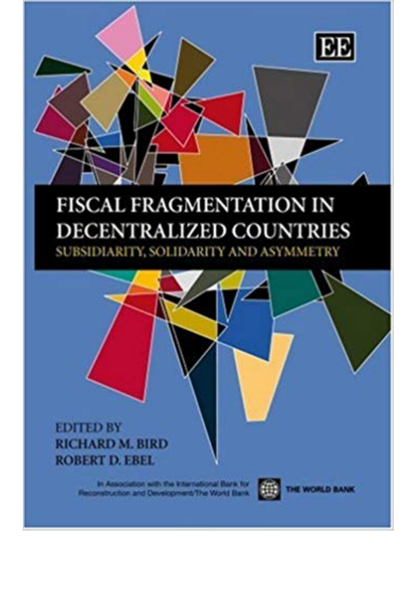

## **FISCAL FRAGMENTATION IN DECENTRALIZED COUNTRIES** SUBSIDIARITY, SOLIDARITY AND ASYMMETRY

## **EDITED BY RICHARD M. BIRD ROBERT D. EBEL**

In Association with the International Baris for<br>construction and Development/The World Bank

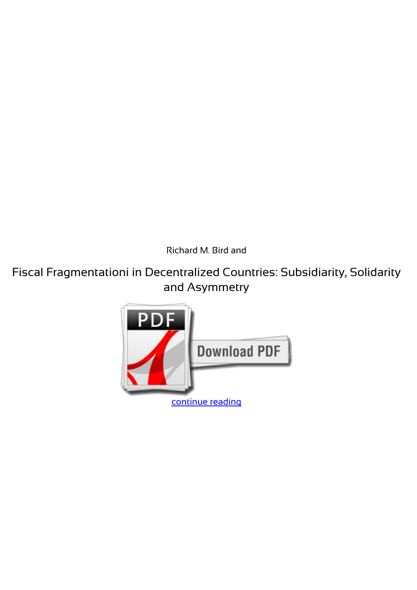*Richard M. Bird and*

**Fiscal Fragmentationi in Decentralized Countries: Subsidiarity, Solidarity and Asymmetry**

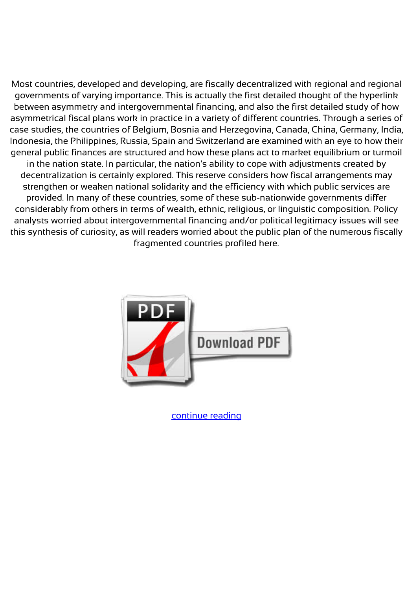Most countries, developed and developing, are fiscally decentralized with regional and regional governments of varying importance. This is actually the first detailed thought of the hyperlink between asymmetry and intergovernmental financing, and also the first detailed study of how asymmetrical fiscal plans work in practice in a variety of different countries. Through a series of case studies, the countries of Belgium, Bosnia and Herzegovina, Canada, China, Germany, India, Indonesia, the Philippines, Russia, Spain and Switzerland are examined with an eye to how their general public finances are structured and how these plans act to market equilibrium or turmoil in the nation state. In particular, the nation's ability to cope with adjustments created by decentralization is certainly explored. This reserve considers how fiscal arrangements may strengthen or weaken national solidarity and the efficiency with which public services are provided. In many of these countries, some of these sub-nationwide governments differ considerably from others in terms of wealth, ethnic, religious, or linguistic composition. Policy analysts worried about intergovernmental financing and/or political legitimacy issues will see this synthesis of curiosity, as will readers worried about the public plan of the numerous fiscally fragmented countries profiled here.



[continue reading](http://bit.ly/2Tge8Fv)